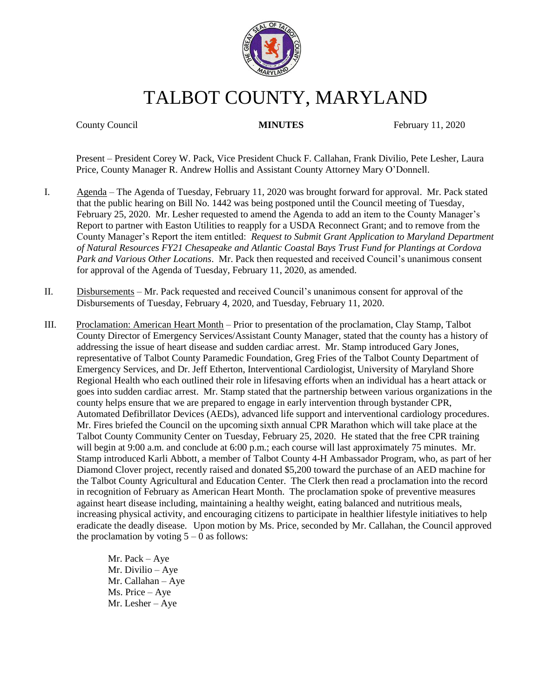

# TALBOT COUNTY, MARYLAND

County Council **MINUTES** February 11, 2020

Present – President Corey W. Pack, Vice President Chuck F. Callahan, Frank Divilio, Pete Lesher, Laura Price, County Manager R. Andrew Hollis and Assistant County Attorney Mary O'Donnell.

- I. Agenda The Agenda of Tuesday, February 11, 2020 was brought forward for approval. Mr. Pack stated that the public hearing on Bill No. 1442 was being postponed until the Council meeting of Tuesday, February 25, 2020. Mr. Lesher requested to amend the Agenda to add an item to the County Manager's Report to partner with Easton Utilities to reapply for a USDA Reconnect Grant; and to remove from the County Manager's Report the item entitled: *Request to Submit Grant Application to Maryland Department of Natural Resources FY21 Chesapeake and Atlantic Coastal Bays Trust Fund for Plantings at Cordova Park and Various Other Locations*. Mr. Pack then requested and received Council's unanimous consent for approval of the Agenda of Tuesday, February 11, 2020, as amended.
- II. Disbursements Mr. Pack requested and received Council's unanimous consent for approval of the Disbursements of Tuesday, February 4, 2020, and Tuesday, February 11, 2020.
- III. Proclamation: American Heart Month Prior to presentation of the proclamation, Clay Stamp, Talbot County Director of Emergency Services/Assistant County Manager, stated that the county has a history of addressing the issue of heart disease and sudden cardiac arrest. Mr. Stamp introduced Gary Jones, representative of Talbot County Paramedic Foundation, Greg Fries of the Talbot County Department of Emergency Services, and Dr. Jeff Etherton, Interventional Cardiologist, University of Maryland Shore Regional Health who each outlined their role in lifesaving efforts when an individual has a heart attack or goes into sudden cardiac arrest. Mr. Stamp stated that the partnership between various organizations in the county helps ensure that we are prepared to engage in early intervention through bystander CPR, Automated Defibrillator Devices (AEDs), advanced life support and interventional cardiology procedures. Mr. Fires briefed the Council on the upcoming sixth annual CPR Marathon which will take place at the Talbot County Community Center on Tuesday, February 25, 2020. He stated that the free CPR training will begin at 9:00 a.m. and conclude at 6:00 p.m.; each course will last approximately 75 minutes. Mr. Stamp introduced Karli Abbott, a member of Talbot County 4-H Ambassador Program, who, as part of her Diamond Clover project, recently raised and donated \$5,200 toward the purchase of an AED machine for the Talbot County Agricultural and Education Center. The Clerk then read a proclamation into the record in recognition of February as American Heart Month. The proclamation spoke of preventive measures against heart disease including, maintaining a healthy weight, eating balanced and nutritious meals, increasing physical activity, and encouraging citizens to participate in healthier lifestyle initiatives to help eradicate the deadly disease. Upon motion by Ms. Price, seconded by Mr. Callahan, the Council approved the proclamation by voting  $5 - 0$  as follows:

Mr. Pack – Aye Mr. Divilio – Aye Mr. Callahan – Aye Ms. Price – Aye Mr. Lesher – Aye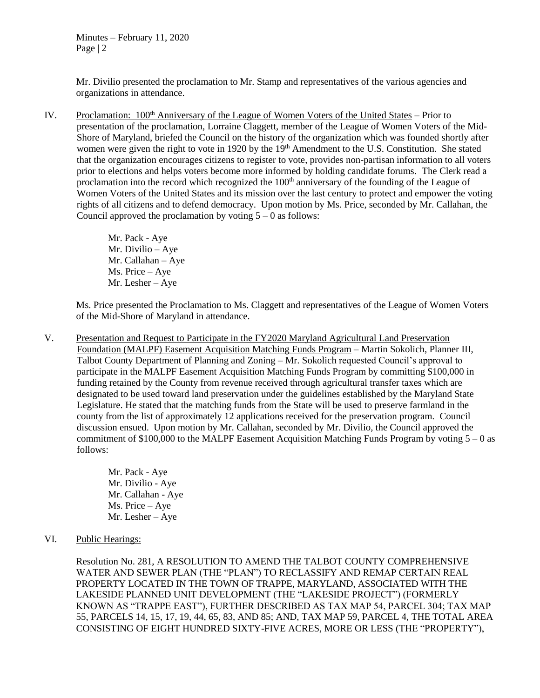Mr. Divilio presented the proclamation to Mr. Stamp and representatives of the various agencies and organizations in attendance.

IV. Proclamation: 100<sup>th</sup> Anniversary of the League of Women Voters of the United States – Prior to presentation of the proclamation, Lorraine Claggett, member of the League of Women Voters of the Mid-Shore of Maryland, briefed the Council on the history of the organization which was founded shortly after women were given the right to vote in 1920 by the 19<sup>th</sup> Amendment to the U.S. Constitution. She stated that the organization encourages citizens to register to vote, provides non-partisan information to all voters prior to elections and helps voters become more informed by holding candidate forums. The Clerk read a proclamation into the record which recognized the 100<sup>th</sup> anniversary of the founding of the League of Women Voters of the United States and its mission over the last century to protect and empower the voting rights of all citizens and to defend democracy. Upon motion by Ms. Price, seconded by Mr. Callahan, the Council approved the proclamation by voting  $5 - 0$  as follows:

> Mr. Pack - Aye Mr. Divilio – Aye Mr. Callahan – Aye Ms. Price – Aye Mr. Lesher – Aye

Ms. Price presented the Proclamation to Ms. Claggett and representatives of the League of Women Voters of the Mid-Shore of Maryland in attendance.

V. Presentation and Request to Participate in the FY2020 Maryland Agricultural Land Preservation Foundation (MALPF) Easement Acquisition Matching Funds Program – Martin Sokolich, Planner III, Talbot County Department of Planning and Zoning – Mr. Sokolich requested Council's approval to participate in the MALPF Easement Acquisition Matching Funds Program by committing \$100,000 in funding retained by the County from revenue received through agricultural transfer taxes which are designated to be used toward land preservation under the guidelines established by the Maryland State Legislature. He stated that the matching funds from the State will be used to preserve farmland in the county from the list of approximately 12 applications received for the preservation program. Council discussion ensued. Upon motion by Mr. Callahan, seconded by Mr. Divilio, the Council approved the commitment of \$100,000 to the MALPF Easement Acquisition Matching Funds Program by voting  $5 - 0$  as follows:

> Mr. Pack - Aye Mr. Divilio - Aye Mr. Callahan - Aye Ms. Price – Aye Mr. Lesher – Aye

VI. Public Hearings:

Resolution No. 281, A RESOLUTION TO AMEND THE TALBOT COUNTY COMPREHENSIVE WATER AND SEWER PLAN (THE "PLAN") TO RECLASSIFY AND REMAP CERTAIN REAL PROPERTY LOCATED IN THE TOWN OF TRAPPE, MARYLAND, ASSOCIATED WITH THE LAKESIDE PLANNED UNIT DEVELOPMENT (THE "LAKESIDE PROJECT") (FORMERLY KNOWN AS "TRAPPE EAST"), FURTHER DESCRIBED AS TAX MAP 54, PARCEL 304; TAX MAP 55, PARCELS 14, 15, 17, 19, 44, 65, 83, AND 85; AND, TAX MAP 59, PARCEL 4, THE TOTAL AREA CONSISTING OF EIGHT HUNDRED SIXTY-FIVE ACRES, MORE OR LESS (THE "PROPERTY"),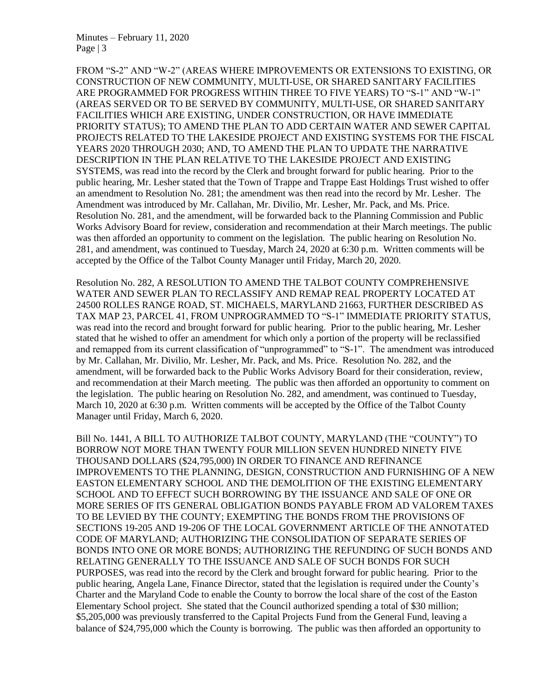FROM "S-2" AND "W-2" (AREAS WHERE IMPROVEMENTS OR EXTENSIONS TO EXISTING, OR CONSTRUCTION OF NEW COMMUNITY, MULTI-USE, OR SHARED SANITARY FACILITIES ARE PROGRAMMED FOR PROGRESS WITHIN THREE TO FIVE YEARS) TO "S-1" AND "W-1" (AREAS SERVED OR TO BE SERVED BY COMMUNITY, MULTI-USE, OR SHARED SANITARY FACILITIES WHICH ARE EXISTING, UNDER CONSTRUCTION, OR HAVE IMMEDIATE PRIORITY STATUS); TO AMEND THE PLAN TO ADD CERTAIN WATER AND SEWER CAPITAL PROJECTS RELATED TO THE LAKESIDE PROJECT AND EXISTING SYSTEMS FOR THE FISCAL YEARS 2020 THROUGH 2030; AND, TO AMEND THE PLAN TO UPDATE THE NARRATIVE DESCRIPTION IN THE PLAN RELATIVE TO THE LAKESIDE PROJECT AND EXISTING SYSTEMS, was read into the record by the Clerk and brought forward for public hearing. Prior to the public hearing, Mr. Lesher stated that the Town of Trappe and Trappe East Holdings Trust wished to offer an amendment to Resolution No. 281; the amendment was then read into the record by Mr. Lesher. The Amendment was introduced by Mr. Callahan, Mr. Divilio, Mr. Lesher, Mr. Pack, and Ms. Price. Resolution No. 281, and the amendment, will be forwarded back to the Planning Commission and Public Works Advisory Board for review, consideration and recommendation at their March meetings. The public was then afforded an opportunity to comment on the legislation. The public hearing on Resolution No. 281, and amendment, was continued to Tuesday, March 24, 2020 at 6:30 p.m. Written comments will be accepted by the Office of the Talbot County Manager until Friday, March 20, 2020.

Resolution No. 282, A RESOLUTION TO AMEND THE TALBOT COUNTY COMPREHENSIVE WATER AND SEWER PLAN TO RECLASSIFY AND REMAP REAL PROPERTY LOCATED AT 24500 ROLLES RANGE ROAD, ST. MICHAELS, MARYLAND 21663, FURTHER DESCRIBED AS TAX MAP 23, PARCEL 41, FROM UNPROGRAMMED TO "S-1" IMMEDIATE PRIORITY STATUS, was read into the record and brought forward for public hearing. Prior to the public hearing, Mr. Lesher stated that he wished to offer an amendment for which only a portion of the property will be reclassified and remapped from its current classification of "unprogrammed" to "S-1". The amendment was introduced by Mr. Callahan, Mr. Divilio, Mr. Lesher, Mr. Pack, and Ms. Price. Resolution No. 282, and the amendment, will be forwarded back to the Public Works Advisory Board for their consideration, review, and recommendation at their March meeting. The public was then afforded an opportunity to comment on the legislation. The public hearing on Resolution No. 282, and amendment, was continued to Tuesday, March 10, 2020 at 6:30 p.m. Written comments will be accepted by the Office of the Talbot County Manager until Friday, March 6, 2020.

Bill No. 1441, A BILL TO AUTHORIZE TALBOT COUNTY, MARYLAND (THE "COUNTY") TO BORROW NOT MORE THAN TWENTY FOUR MILLION SEVEN HUNDRED NINETY FIVE THOUSAND DOLLARS (\$24,795,000) IN ORDER TO FINANCE AND REFINANCE IMPROVEMENTS TO THE PLANNING, DESIGN, CONSTRUCTION AND FURNISHING OF A NEW EASTON ELEMENTARY SCHOOL AND THE DEMOLITION OF THE EXISTING ELEMENTARY SCHOOL AND TO EFFECT SUCH BORROWING BY THE ISSUANCE AND SALE OF ONE OR MORE SERIES OF ITS GENERAL OBLIGATION BONDS PAYABLE FROM AD VALOREM TAXES TO BE LEVIED BY THE COUNTY; EXEMPTING THE BONDS FROM THE PROVISIONS OF SECTIONS 19-205 AND 19-206 OF THE LOCAL GOVERNMENT ARTICLE OF THE ANNOTATED CODE OF MARYLAND; AUTHORIZING THE CONSOLIDATION OF SEPARATE SERIES OF BONDS INTO ONE OR MORE BONDS; AUTHORIZING THE REFUNDING OF SUCH BONDS AND RELATING GENERALLY TO THE ISSUANCE AND SALE OF SUCH BONDS FOR SUCH PURPOSES, was read into the record by the Clerk and brought forward for public hearing. Prior to the public hearing, Angela Lane, Finance Director, stated that the legislation is required under the County's Charter and the Maryland Code to enable the County to borrow the local share of the cost of the Easton Elementary School project. She stated that the Council authorized spending a total of \$30 million; \$5,205,000 was previously transferred to the Capital Projects Fund from the General Fund, leaving a balance of \$24,795,000 which the County is borrowing. The public was then afforded an opportunity to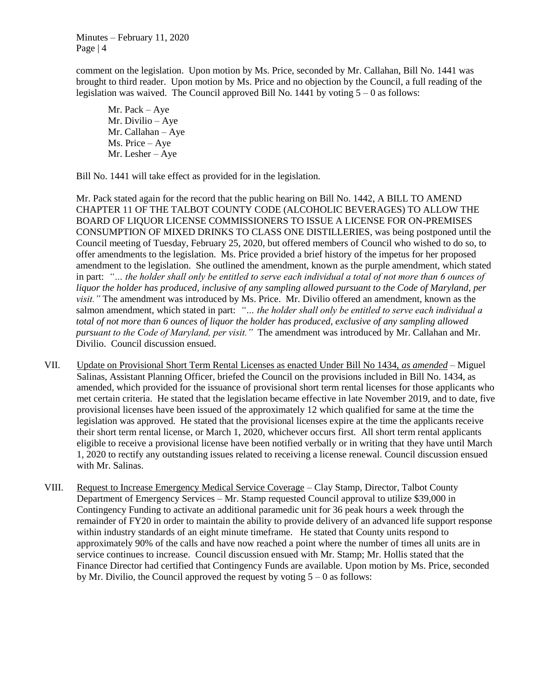comment on the legislation. Upon motion by Ms. Price, seconded by Mr. Callahan, Bill No. 1441 was brought to third reader. Upon motion by Ms. Price and no objection by the Council, a full reading of the legislation was waived. The Council approved Bill No. 1441 by voting 5 – 0 as follows:

Mr. Pack – Aye Mr. Divilio – Aye Mr. Callahan – Aye Ms. Price – Aye Mr. Lesher – Aye

Bill No. 1441 will take effect as provided for in the legislation.

Mr. Pack stated again for the record that the public hearing on Bill No. 1442, A BILL TO AMEND CHAPTER 11 OF THE TALBOT COUNTY CODE (ALCOHOLIC BEVERAGES) TO ALLOW THE BOARD OF LIQUOR LICENSE COMMISSIONERS TO ISSUE A LICENSE FOR ON-PREMISES CONSUMPTION OF MIXED DRINKS TO CLASS ONE DISTILLERIES, was being postponed until the Council meeting of Tuesday, February 25, 2020, but offered members of Council who wished to do so, to offer amendments to the legislation. Ms. Price provided a brief history of the impetus for her proposed amendment to the legislation. She outlined the amendment, known as the purple amendment, which stated in part: *"… the holder shall only be entitled to serve each individual a total of not more than 6 ounces of liquor the holder has produced, inclusive of any sampling allowed pursuant to the Code of Maryland, per visit."* The amendment was introduced by Ms. Price. Mr. Divilio offered an amendment, known as the salmon amendment, which stated in part: *"… the holder shall only be entitled to serve each individual a total of not more than 6 ounces of liquor the holder has produced, exclusive of any sampling allowed pursuant to the Code of Maryland, per visit."* The amendment was introduced by Mr. Callahan and Mr. Divilio. Council discussion ensued.

- VII. Update on Provisional Short Term Rental Licenses as enacted Under Bill No 1434, *as amended –* Miguel Salinas, Assistant Planning Officer, briefed the Council on the provisions included in Bill No. 1434, as amended, which provided for the issuance of provisional short term rental licenses for those applicants who met certain criteria. He stated that the legislation became effective in late November 2019, and to date, five provisional licenses have been issued of the approximately 12 which qualified for same at the time the legislation was approved. He stated that the provisional licenses expire at the time the applicants receive their short term rental license, or March 1, 2020, whichever occurs first. All short term rental applicants eligible to receive a provisional license have been notified verbally or in writing that they have until March 1, 2020 to rectify any outstanding issues related to receiving a license renewal. Council discussion ensued with Mr. Salinas.
- VIII. Request to Increase Emergency Medical Service Coverage Clay Stamp, Director, Talbot County Department of Emergency Services – Mr. Stamp requested Council approval to utilize \$39,000 in Contingency Funding to activate an additional paramedic unit for 36 peak hours a week through the remainder of FY20 in order to maintain the ability to provide delivery of an advanced life support response within industry standards of an eight minute timeframe. He stated that County units respond to approximately 90% of the calls and have now reached a point where the number of times all units are in service continues to increase. Council discussion ensued with Mr. Stamp; Mr. Hollis stated that the Finance Director had certified that Contingency Funds are available. Upon motion by Ms. Price, seconded by Mr. Divilio, the Council approved the request by voting  $5 - 0$  as follows: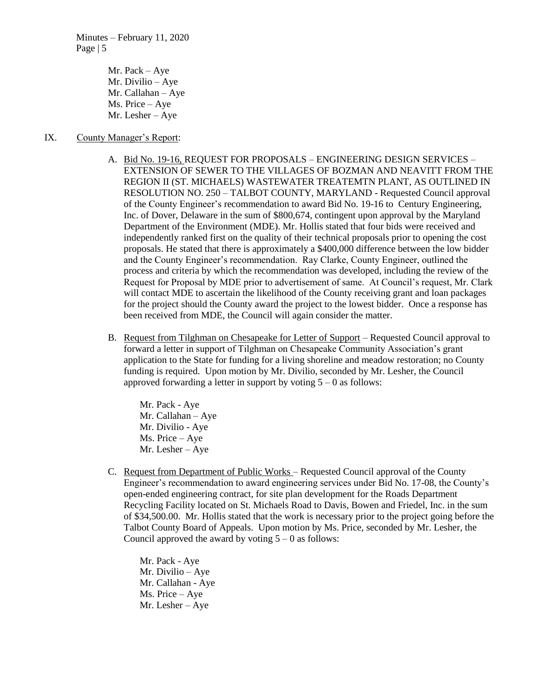> Mr. Pack – Aye Mr. Divilio – Aye Mr. Callahan – Aye Ms. Price – Aye Mr. Lesher – Aye

#### IX. County Manager's Report:

- A. Bid No. 19-16, REQUEST FOR PROPOSALS ENGINEERING DESIGN SERVICES EXTENSION OF SEWER TO THE VILLAGES OF BOZMAN AND NEAVITT FROM THE REGION II (ST. MICHAELS) WASTEWATER TREATEMTN PLANT, AS OUTLINED IN RESOLUTION NO. 250 – TALBOT COUNTY, MARYLAND - Requested Council approval of the County Engineer's recommendation to award Bid No. 19-16 to Century Engineering, Inc. of Dover, Delaware in the sum of \$800,674, contingent upon approval by the Maryland Department of the Environment (MDE). Mr. Hollis stated that four bids were received and independently ranked first on the quality of their technical proposals prior to opening the cost proposals. He stated that there is approximately a \$400,000 difference between the low bidder and the County Engineer's recommendation. Ray Clarke, County Engineer, outlined the process and criteria by which the recommendation was developed, including the review of the Request for Proposal by MDE prior to advertisement of same. At Council's request, Mr. Clark will contact MDE to ascertain the likelihood of the County receiving grant and loan packages for the project should the County award the project to the lowest bidder. Once a response has been received from MDE, the Council will again consider the matter.
- B. Request from Tilghman on Chesapeake for Letter of Support Requested Council approval to forward a letter in support of Tilghman on Chesapeake Community Association's grant application to the State for funding for a living shoreline and meadow restoration; no County funding is required. Upon motion by Mr. Divilio, seconded by Mr. Lesher, the Council approved forwarding a letter in support by voting  $5 - 0$  as follows:

Mr. Pack - Aye Mr. Callahan – Aye Mr. Divilio - Aye Ms. Price – Aye Mr. Lesher – Aye

C. Request from Department of Public Works – Requested Council approval of the County Engineer's recommendation to award engineering services under Bid No. 17-08, the County's open-ended engineering contract, for site plan development for the Roads Department Recycling Facility located on St. Michaels Road to Davis, Bowen and Friedel, Inc. in the sum of \$34,500.00. Mr. Hollis stated that the work is necessary prior to the project going before the Talbot County Board of Appeals. Upon motion by Ms. Price, seconded by Mr. Lesher, the Council approved the award by voting  $5 - 0$  as follows:

Mr. Pack - Aye Mr. Divilio – Aye Mr. Callahan - Aye Ms. Price – Aye Mr. Lesher – Aye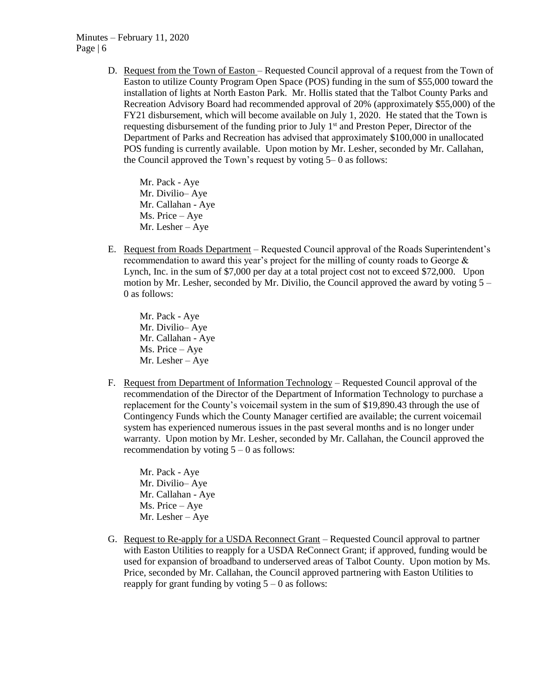D. Request from the Town of Easton – Requested Council approval of a request from the Town of Easton to utilize County Program Open Space (POS) funding in the sum of \$55,000 toward the installation of lights at North Easton Park. Mr. Hollis stated that the Talbot County Parks and Recreation Advisory Board had recommended approval of 20% (approximately \$55,000) of the FY21 disbursement, which will become available on July 1, 2020. He stated that the Town is requesting disbursement of the funding prior to July 1<sup>st</sup> and Preston Peper, Director of the Department of Parks and Recreation has advised that approximately \$100,000 in unallocated POS funding is currently available. Upon motion by Mr. Lesher, seconded by Mr. Callahan, the Council approved the Town's request by voting 5– 0 as follows:

Mr. Pack - Aye Mr. Divilio– Aye Mr. Callahan - Aye Ms. Price – Aye Mr. Lesher – Aye

E. Request from Roads Department – Requested Council approval of the Roads Superintendent's recommendation to award this year's project for the milling of county roads to George & Lynch, Inc. in the sum of \$7,000 per day at a total project cost not to exceed \$72,000. Upon motion by Mr. Lesher, seconded by Mr. Divilio, the Council approved the award by voting  $5 -$ 0 as follows:

Mr. Pack - Aye Mr. Divilio– Aye Mr. Callahan - Aye Ms. Price – Aye Mr. Lesher – Aye

F. Request from Department of Information Technology – Requested Council approval of the recommendation of the Director of the Department of Information Technology to purchase a replacement for the County's voicemail system in the sum of \$19,890.43 through the use of Contingency Funds which the County Manager certified are available; the current voicemail system has experienced numerous issues in the past several months and is no longer under warranty. Upon motion by Mr. Lesher, seconded by Mr. Callahan, the Council approved the recommendation by voting  $5 - 0$  as follows:

Mr. Pack - Aye Mr. Divilio– Aye Mr. Callahan - Aye Ms. Price – Aye Mr. Lesher – Aye

G. Request to Re-apply for a USDA Reconnect Grant – Requested Council approval to partner with Easton Utilities to reapply for a USDA ReConnect Grant; if approved, funding would be used for expansion of broadband to underserved areas of Talbot County. Upon motion by Ms. Price, seconded by Mr. Callahan, the Council approved partnering with Easton Utilities to reapply for grant funding by voting  $5 - 0$  as follows: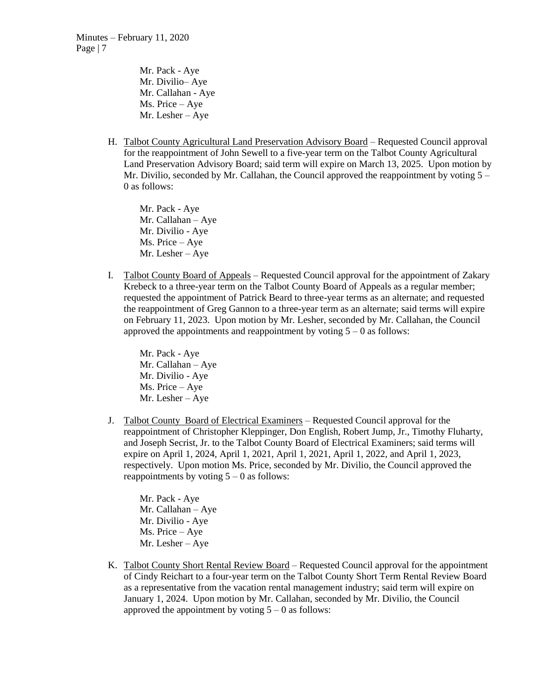Mr. Pack - Aye Mr. Divilio– Aye Mr. Callahan - Aye Ms. Price – Aye Mr. Lesher – Aye

H. Talbot County Agricultural Land Preservation Advisory Board – Requested Council approval for the reappointment of John Sewell to a five-year term on the Talbot County Agricultural Land Preservation Advisory Board; said term will expire on March 13, 2025. Upon motion by Mr. Divilio, seconded by Mr. Callahan, the Council approved the reappointment by voting  $5 -$ 0 as follows:

Mr. Pack - Aye Mr. Callahan – Aye Mr. Divilio - Aye Ms. Price – Aye Mr. Lesher – Aye

I. Talbot County Board of Appeals – Requested Council approval for the appointment of Zakary Krebeck to a three-year term on the Talbot County Board of Appeals as a regular member; requested the appointment of Patrick Beard to three-year terms as an alternate; and requested the reappointment of Greg Gannon to a three-year term as an alternate; said terms will expire on February 11, 2023. Upon motion by Mr. Lesher, seconded by Mr. Callahan, the Council approved the appointments and reappointment by voting  $5 - 0$  as follows:

Mr. Pack - Aye Mr. Callahan – Aye Mr. Divilio - Aye Ms. Price – Aye Mr. Lesher – Aye

J. Talbot County Board of Electrical Examiners – Requested Council approval for the reappointment of Christopher Kleppinger, Don English, Robert Jump, Jr., Timothy Fluharty, and Joseph Secrist, Jr. to the Talbot County Board of Electrical Examiners; said terms will expire on April 1, 2024, April 1, 2021, April 1, 2021, April 1, 2022, and April 1, 2023, respectively. Upon motion Ms. Price, seconded by Mr. Divilio, the Council approved the reappointments by voting  $5 - 0$  as follows:

Mr. Pack - Aye Mr. Callahan – Aye Mr. Divilio - Aye Ms. Price – Aye Mr. Lesher – Aye

K. Talbot County Short Rental Review Board – Requested Council approval for the appointment of Cindy Reichart to a four-year term on the Talbot County Short Term Rental Review Board as a representative from the vacation rental management industry; said term will expire on January 1, 2024. Upon motion by Mr. Callahan, seconded by Mr. Divilio, the Council approved the appointment by voting  $5 - 0$  as follows: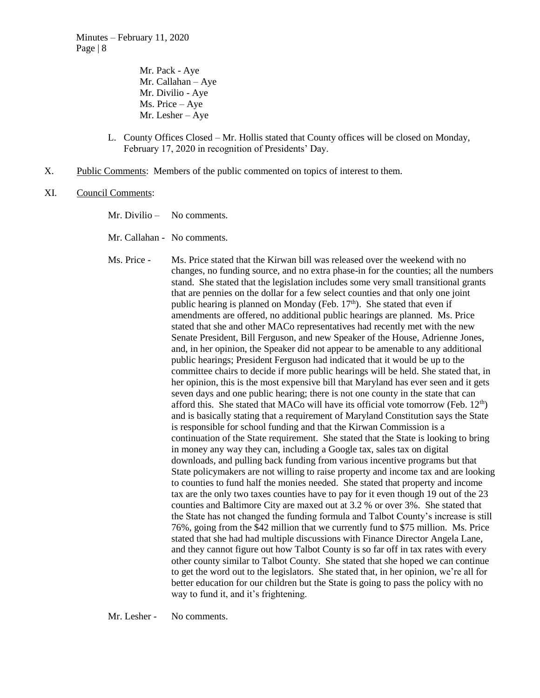Mr. Pack - Aye Mr. Callahan – Aye Mr. Divilio - Aye Ms. Price – Aye Mr. Lesher – Aye

- L. County Offices Closed Mr. Hollis stated that County offices will be closed on Monday, February 17, 2020 in recognition of Presidents' Day.
- X. Public Comments: Members of the public commented on topics of interest to them.
- XI. Council Comments:
	- Mr. Divilio No comments.
	- Mr. Callahan No comments.

Ms. Price - Ms. Price stated that the Kirwan bill was released over the weekend with no changes, no funding source, and no extra phase-in for the counties; all the numbers stand. She stated that the legislation includes some very small transitional grants that are pennies on the dollar for a few select counties and that only one joint public hearing is planned on Monday (Feb.  $17<sup>th</sup>$ ). She stated that even if amendments are offered, no additional public hearings are planned. Ms. Price stated that she and other MACo representatives had recently met with the new Senate President, Bill Ferguson, and new Speaker of the House, Adrienne Jones, and, in her opinion, the Speaker did not appear to be amenable to any additional public hearings; President Ferguson had indicated that it would be up to the committee chairs to decide if more public hearings will be held. She stated that, in her opinion, this is the most expensive bill that Maryland has ever seen and it gets seven days and one public hearing; there is not one county in the state that can afford this. She stated that MACo will have its official vote tomorrow (Feb.  $12<sup>th</sup>$ ) and is basically stating that a requirement of Maryland Constitution says the State is responsible for school funding and that the Kirwan Commission is a continuation of the State requirement. She stated that the State is looking to bring in money any way they can, including a Google tax, sales tax on digital downloads, and pulling back funding from various incentive programs but that State policymakers are not willing to raise property and income tax and are looking to counties to fund half the monies needed. She stated that property and income tax are the only two taxes counties have to pay for it even though 19 out of the 23 counties and Baltimore City are maxed out at 3.2 % or over 3%. She stated that the State has not changed the funding formula and Talbot County's increase is still 76%, going from the \$42 million that we currently fund to \$75 million. Ms. Price stated that she had had multiple discussions with Finance Director Angela Lane, and they cannot figure out how Talbot County is so far off in tax rates with every other county similar to Talbot County. She stated that she hoped we can continue to get the word out to the legislators. She stated that, in her opinion, we're all for better education for our children but the State is going to pass the policy with no way to fund it, and it's frightening.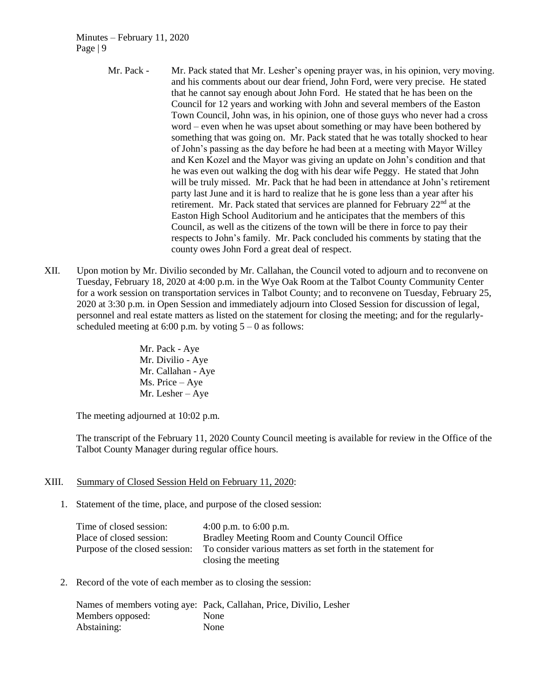- Mr. Pack Mr. Pack stated that Mr. Lesher's opening prayer was, in his opinion, very moving. and his comments about our dear friend, John Ford, were very precise. He stated that he cannot say enough about John Ford. He stated that he has been on the Council for 12 years and working with John and several members of the Easton Town Council, John was, in his opinion, one of those guys who never had a cross word – even when he was upset about something or may have been bothered by something that was going on. Mr. Pack stated that he was totally shocked to hear of John's passing as the day before he had been at a meeting with Mayor Willey and Ken Kozel and the Mayor was giving an update on John's condition and that he was even out walking the dog with his dear wife Peggy. He stated that John will be truly missed. Mr. Pack that he had been in attendance at John's retirement party last June and it is hard to realize that he is gone less than a year after his retirement. Mr. Pack stated that services are planned for February 22<sup>nd</sup> at the Easton High School Auditorium and he anticipates that the members of this Council, as well as the citizens of the town will be there in force to pay their respects to John's family. Mr. Pack concluded his comments by stating that the county owes John Ford a great deal of respect.
- XII. Upon motion by Mr. Divilio seconded by Mr. Callahan, the Council voted to adjourn and to reconvene on Tuesday, February 18, 2020 at 4:00 p.m. in the Wye Oak Room at the Talbot County Community Center for a work session on transportation services in Talbot County; and to reconvene on Tuesday, February 25, 2020 at 3:30 p.m. in Open Session and immediately adjourn into Closed Session for discussion of legal, personnel and real estate matters as listed on the statement for closing the meeting; and for the regularlyscheduled meeting at 6:00 p.m. by voting  $5 - 0$  as follows:
	- Mr. Pack Aye Mr. Divilio - Aye Mr. Callahan - Aye Ms. Price – Aye Mr. Lesher – Aye

The meeting adjourned at 10:02 p.m.

The transcript of the February 11, 2020 County Council meeting is available for review in the Office of the Talbot County Manager during regular office hours.

### XIII. Summary of Closed Session Held on February 11, 2020:

1. Statement of the time, place, and purpose of the closed session:

| Time of closed session:        | 4:00 p.m. to 6:00 p.m.                                        |
|--------------------------------|---------------------------------------------------------------|
| Place of closed session:       | Bradley Meeting Room and County Council Office                |
| Purpose of the closed session: | To consider various matters as set forth in the statement for |
|                                | closing the meeting                                           |

2. Record of the vote of each member as to closing the session:

|                  | Names of members voting aye: Pack, Callahan, Price, Divilio, Lesher |
|------------------|---------------------------------------------------------------------|
| Members opposed: | <b>None</b>                                                         |
| Abstaining:      | None                                                                |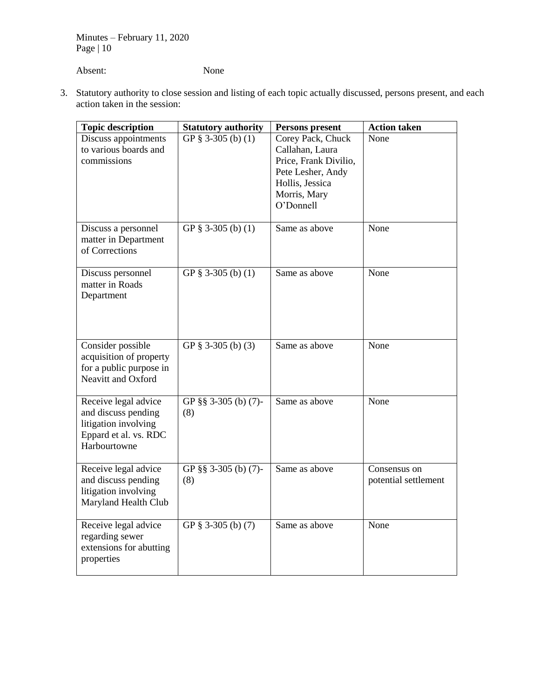Absent: None

3. Statutory authority to close session and listing of each topic actually discussed, persons present, and each action taken in the session:

| <b>Topic description</b>                                                                                     | <b>Statutory authority</b>  | Persons present                                                                                                                    | <b>Action taken</b>                  |
|--------------------------------------------------------------------------------------------------------------|-----------------------------|------------------------------------------------------------------------------------------------------------------------------------|--------------------------------------|
| Discuss appointments<br>to various boards and<br>commissions                                                 | GP $§$ 3-305 (b) (1)        | Corey Pack, Chuck<br>Callahan, Laura<br>Price, Frank Divilio,<br>Pete Lesher, Andy<br>Hollis, Jessica<br>Morris, Mary<br>O'Donnell | None                                 |
| Discuss a personnel<br>matter in Department<br>of Corrections                                                | GP $\S$ 3-305 (b) (1)       | Same as above                                                                                                                      | None                                 |
| Discuss personnel<br>matter in Roads<br>Department                                                           | GP $§$ 3-305 (b) (1)        | Same as above                                                                                                                      | None                                 |
| Consider possible<br>acquisition of property<br>for a public purpose in<br>Neavitt and Oxford                | GP $§$ 3-305 (b) (3)        | Same as above                                                                                                                      | None                                 |
| Receive legal advice<br>and discuss pending<br>litigation involving<br>Eppard et al. vs. RDC<br>Harbourtowne | GP §§ 3-305 (b) (7)-<br>(8) | Same as above                                                                                                                      | None                                 |
| Receive legal advice<br>and discuss pending<br>litigation involving<br>Maryland Health Club                  | GP §§ 3-305 (b) (7)-<br>(8) | Same as above                                                                                                                      | Consensus on<br>potential settlement |
| Receive legal advice<br>regarding sewer<br>extensions for abutting<br>properties                             | GP $§$ 3-305 (b) (7)        | Same as above                                                                                                                      | None                                 |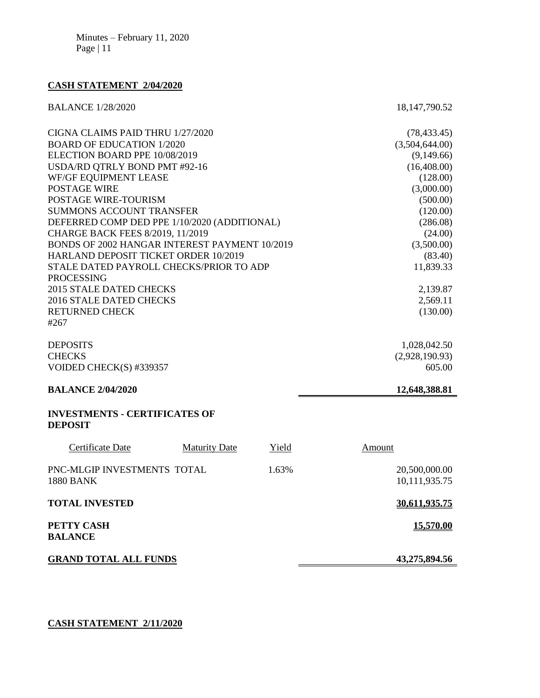# **CASH STATEMENT 2/04/2020**

| <b>BALANCE 1/28/2020</b>                      | 18, 147, 790. 52 |
|-----------------------------------------------|------------------|
| CIGNA CLAIMS PAID THRU 1/27/2020              | (78, 433.45)     |
| <b>BOARD OF EDUCATION 1/2020</b>              | (3,504,644.00)   |
| ELECTION BOARD PPE 10/08/2019                 | (9,149.66)       |
| USDA/RD QTRLY BOND PMT #92-16                 | (16,408.00)      |
| WF/GF EQUIPMENT LEASE                         | (128.00)         |
| POSTAGE WIRE                                  | (3,000.00)       |
| <b>POSTAGE WIRE-TOURISM</b>                   | (500.00)         |
| <b>SUMMONS ACCOUNT TRANSFER</b>               | (120.00)         |
| DEFERRED COMP DED PPE 1/10/2020 (ADDITIONAL)  | (286.08)         |
| CHARGE BACK FEES 8/2019, 11/2019              | (24.00)          |
| BONDS OF 2002 HANGAR INTEREST PAYMENT 10/2019 | (3,500.00)       |
| HARLAND DEPOSIT TICKET ORDER 10/2019          | (83.40)          |
| STALE DATED PAYROLL CHECKS/PRIOR TO ADP       | 11,839.33        |
| <b>PROCESSING</b>                             |                  |
| 2015 STALE DATED CHECKS                       | 2,139.87         |
| 2016 STALE DATED CHECKS                       | 2,569.11         |
| <b>RETURNED CHECK</b>                         | (130.00)         |
| #267                                          |                  |
| <b>DEPOSITS</b>                               | 1,028,042.50     |
| <b>CHECKS</b>                                 | (2,928,190.93)   |
| VOIDED CHECK(S) #339357                       | 605.00           |
| <b>BALANCE 2/04/2020</b>                      | 12,648,388.81    |

## **INVESTMENTS - CERTIFICATES OF DEPOSIT**

| Certificate Date                                | <b>Maturity Date</b> | Yield | Amount                         |
|-------------------------------------------------|----------------------|-------|--------------------------------|
| PNC-MLGIP INVESTMENTS TOTAL<br><b>1880 BANK</b> |                      | 1.63% | 20,500,000.00<br>10,111,935.75 |
| <b>TOTAL INVESTED</b>                           |                      |       | 30.611.935.75                  |
| PETTY CASH<br><b>BALANCE</b>                    |                      |       | 15,570.00                      |
| <b>GRAND TOTAL ALL FUNDS</b>                    |                      |       | 43,275,894.56                  |

# **CASH STATEMENT 2/11/2020**